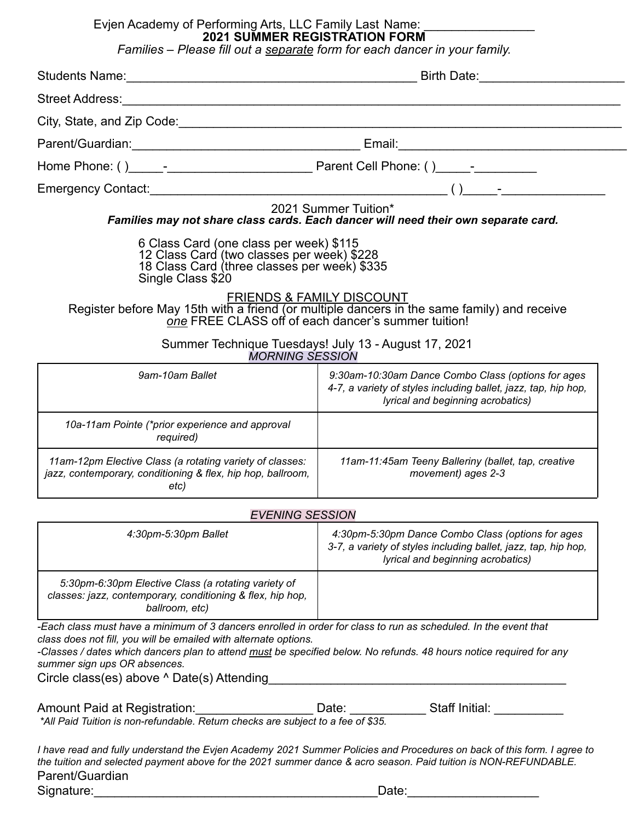## Evjen Academy of Performing Arts, LLC Family Last Name: \_\_\_\_\_\_\_\_\_\_\_\_\_\_\_\_\_\_ **2021 SUMMER REGISTRATION FORM**

*Families – Please fill out a separate form for each dancer in your family.*

| City, State, and Zip Code: example and all and all and all and all and all and all and all and all and all and                                                                                                                                                                                                                                                                                  |                                                                                                                                                                                            |  |
|-------------------------------------------------------------------------------------------------------------------------------------------------------------------------------------------------------------------------------------------------------------------------------------------------------------------------------------------------------------------------------------------------|--------------------------------------------------------------------------------------------------------------------------------------------------------------------------------------------|--|
|                                                                                                                                                                                                                                                                                                                                                                                                 |                                                                                                                                                                                            |  |
|                                                                                                                                                                                                                                                                                                                                                                                                 |                                                                                                                                                                                            |  |
|                                                                                                                                                                                                                                                                                                                                                                                                 |                                                                                                                                                                                            |  |
|                                                                                                                                                                                                                                                                                                                                                                                                 | 2021 Summer Tuition*<br>Families may not share class cards. Each dancer will need their own separate card.                                                                                 |  |
| 6 Class Card (one class per week) \$115<br>12 Class Card (two classes per week) \$228<br>18 Class Card (three classes per week) \$335<br>Single Class \$20                                                                                                                                                                                                                                      | <b>FRIENDS &amp; FAMILY DISCOUNT</b><br>Register before May 15th with a friend (or multiple dancers in the same family) and receive<br>one FREE CLASS off of each dancer's summer tuition! |  |
| <b>MORNING SESSION</b>                                                                                                                                                                                                                                                                                                                                                                          | Summer Technique Tuesdays! July 13 - August 17, 2021                                                                                                                                       |  |
| 9am-10am Ballet                                                                                                                                                                                                                                                                                                                                                                                 | 9:30am-10:30am Dance Combo Class (options for ages<br>4-7, a variety of styles including ballet, jazz, tap, hip hop,<br>lyrical and beginning acrobatics)                                  |  |
| 10a-11am Pointe (*prior experience and approval<br>required)                                                                                                                                                                                                                                                                                                                                    |                                                                                                                                                                                            |  |
| 11am-12pm Elective Class (a rotating variety of classes:<br>jazz, contemporary, conditioning & flex, hip hop, ballroom,<br>etc)                                                                                                                                                                                                                                                                 | 11am-11:45am Teeny Balleriny (ballet, tap, creative<br>movement) ages 2-3                                                                                                                  |  |
| <b>EVENING SESSION</b>                                                                                                                                                                                                                                                                                                                                                                          |                                                                                                                                                                                            |  |
| 4:30pm-5:30pm Ballet                                                                                                                                                                                                                                                                                                                                                                            | 4:30pm-5:30pm Dance Combo Class (options for ages<br>3-7, a variety of styles including ballet, jazz, tap, hip hop,<br>lyrical and beginning acrobatics)                                   |  |
| 5:30pm-6:30pm Elective Class (a rotating variety of<br>classes: jazz, contemporary, conditioning & flex, hip hop,<br>ballroom, etc)                                                                                                                                                                                                                                                             |                                                                                                                                                                                            |  |
| -Each class must have a minimum of 3 dancers enrolled in order for class to run as scheduled. In the event that<br>class does not fill, you will be emailed with alternate options.<br>-Classes / dates which dancers plan to attend <u>must</u> be specified below. No refunds. 48 hours notice required for any<br>summer sign ups OR absences.<br>Circle class(es) above ^ Date(s) Attending | <u> 1989 - Johann Barn, mars an t-Amerikaansk politiker (</u>                                                                                                                              |  |
| Amount Paid at Registration: Date: Date: Staff Initial: Cambridge 1: 1991 - 1: 1991 - 1: 1991 - 1: 1991 - 1: 1<br>All Paid Tuition is non-refundable. Return checks are subject to a fee of \$35.                                                                                                                                                                                               |                                                                                                                                                                                            |  |
| the tuition and selected payment above for the 2021 summer dance & acro season. Paid tuition is NON-REFUNDABLE.<br>Parent/Guardian                                                                                                                                                                                                                                                              | I have read and fully understand the Evjen Academy 2021 Summer Policies and Procedures on back of this form. I agree to                                                                    |  |
| Signature:                                                                                                                                                                                                                                                                                                                                                                                      | Date:                                                                                                                                                                                      |  |